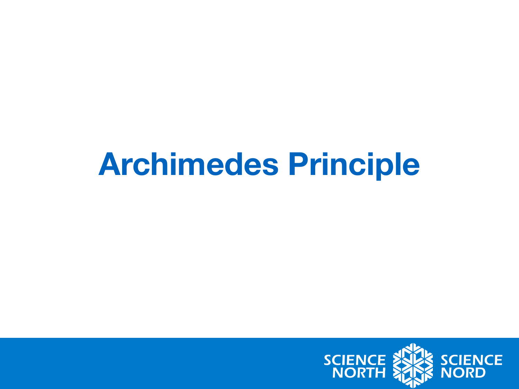#### **Archimedes Principle**

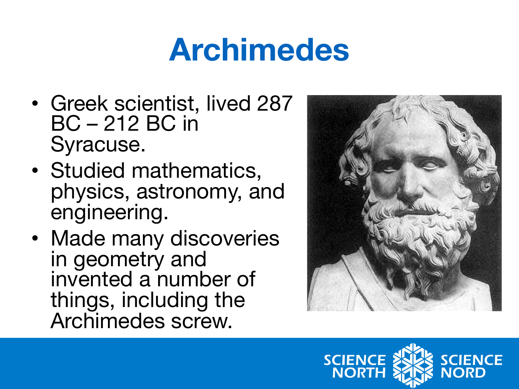#### **Archimedes**

- Greek scientist, lived 287 BC – 212 BC in Syracuse.
- Studied mathematics, physics, astronomy, and engineering.
- Made many discoveries in geometry and invented a number of things, including the Archimedes screw.



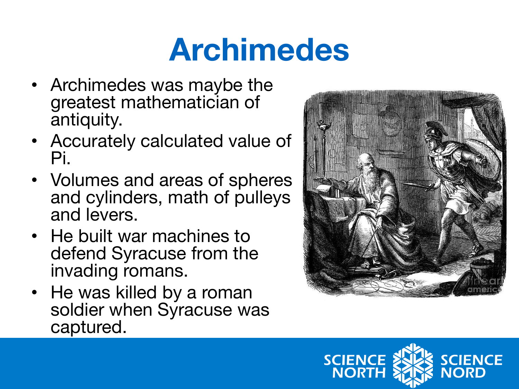### **Archimedes**

- Archimedes was maybe the greatest mathematician of antiquity.
- Accurately calculated value of Pi.
- Volumes and areas of spheres and cylinders, math of pulleys and levers.
- He built war machines to defend Syracuse from the invading romans.
- He was killed by a roman soldier when Syracuse was captured.



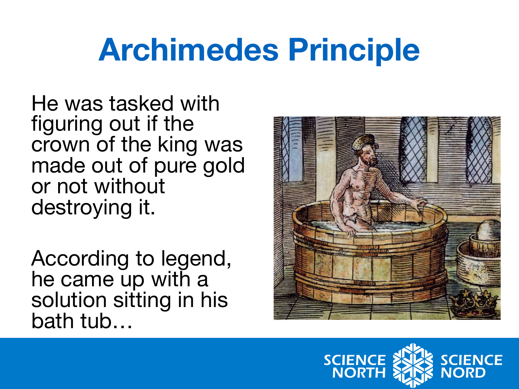### **Archimedes Principle**

He was tasked with figuring out if the crown of the king was made out of pure gold or not without destroying it.

According to legend, he came up with a solution sitting in his bath tub…



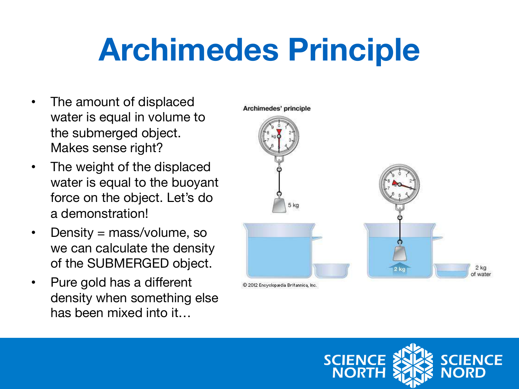## **Archimedes Principle**

- The amount of displaced water is equal in volume to the submerged object. Makes sense right?
- The weight of the displaced water is equal to the buoyant force on the object. Let's do a demonstration!
- Density = mass/volume, so we can calculate the density of the SUBMERGED object.
- Pure gold has a different density when something else has been mixed into it…